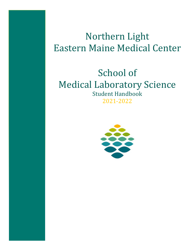# Northern Light Eastern Maine Medical Center

## School of Medical Laboratory Science **Student Handbook** 2021-2022

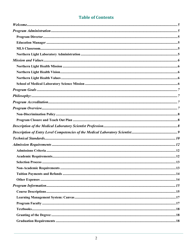## **Table of Contents**

| <b>Selection Process</b> | .13 |
|--------------------------|-----|
|                          |     |
|                          |     |
|                          |     |
|                          |     |
|                          |     |
|                          |     |
|                          |     |
|                          |     |
|                          |     |
|                          |     |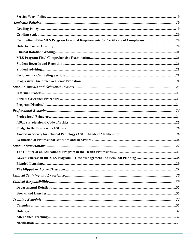| Completion of the MLS Program Essential Requirements for Certificate of Completion20 |  |
|--------------------------------------------------------------------------------------|--|
|                                                                                      |  |
|                                                                                      |  |
|                                                                                      |  |
|                                                                                      |  |
|                                                                                      |  |
|                                                                                      |  |
|                                                                                      |  |
|                                                                                      |  |
|                                                                                      |  |
|                                                                                      |  |
|                                                                                      |  |
|                                                                                      |  |
|                                                                                      |  |
|                                                                                      |  |
|                                                                                      |  |
|                                                                                      |  |
|                                                                                      |  |
|                                                                                      |  |
|                                                                                      |  |
|                                                                                      |  |
|                                                                                      |  |
|                                                                                      |  |
|                                                                                      |  |
|                                                                                      |  |
|                                                                                      |  |
|                                                                                      |  |
|                                                                                      |  |
|                                                                                      |  |
|                                                                                      |  |
|                                                                                      |  |
|                                                                                      |  |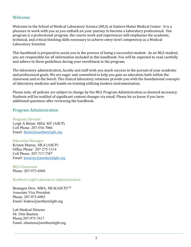#### Welcome

Welcome to the School of Medical Laboratory Science (MLS) at Eastern Maine Medical Center. It is a pleasure to work with you as you embark on your journey to become a laboratory professional. Our program is a professional program, the course work and experiences will emphasize the academic, technical, and critical thinking skills necessary to achieve entry-level competency as a Medical Laboratory Scientist.

This handbook is prepared to assist you in the process of being a successful student. As an MLS student, you are responsible for all information included in this handbook. You will be expected to read carefully and adhere to these guidelines during your enrollment in the program.

The laboratory administration, faculty and staff wish you much success in the pursuit of your academic and professional goals. We are eager and committed to help you gain an education both within the classroom and at the bench. The clinical laboratory rotations provide you with the foundational concepts of laboratory medicine and hands-on training utilizing modern instrumentation.

Please note, all policies are subject to change by the MLS Program Administration as deemed necessary. Students will be notified of significant content changes via email. Please let us know if you have additional questions after reviewing the handbook.

## Program Administration

Program Director Leigh A Belair, MEd, MT (ASCP) Cell Phone: 207-554-7066 Email: lbelair@northernlight.org

Education Manager Kristen Murray, MLS (ASCP) Office Phone: 207-275-1514 Cell Phone: 207-717-7387 Email: kmurray@northernlight.org

MLS Classroom Phone: 207-973-6968

Northern Light Laboratory Administration

Branagon Dow, MBA, MLS(ASCP)<sup>CM</sup> Associate Vice President Phone: 207-973-6905 Email: bodow@northernlight.org

Lab Medical Director Dr. Orin Buetens Phone:207-973-7617 Email: obuetens@northernlight.org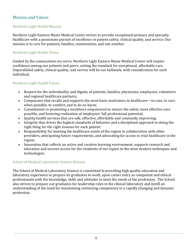## Mission and Values

#### Northern Light Health Mission

Northern Light Eastern Maine Medical Center strives to provide exceptional primary and specialty healthcare with a passionate pursuit of excellence in patient safety, clinical quality, and service. Our mission is to care for patients, families, communities, and one another.

#### Northern Light Health Vision

Guided by the communities we serve, Northern Light Eastern Maine Medical Center will inspire confidence among our patients and peers, setting the standard for exceptional, affordable care. Unparalleled safety, clinical quality, and service will be our hallmark, with consideration for each individual.

#### Northern Light Health Values

- Respect for the individuality and dignity of patients, families, physicians, employees, volunteers and regional healthcare partners;
- Compassion that recalls and supports the most basic motivators in healthcare—to care, to cure when possible, to comfort, and to do no harm;
- Commitment to promoting a workforce empowered to ensure the safest, most effective care possible, and fostering realization of employees' full professional potential;
- Quality health services that are safe, effective, affordable and constantly improving;
- Integrity that drives the highest standards of behavior and a disciplined approach to doing the right thing for the right reasons for each patient;
- Responsibility for meeting the healthcare needs of the region in collaboration with other providers, anticipating future requirements, and advocating for access to vital healthcare in the region;
- Innovation that reflects an active and creative learning environment, supports research and education and secures access for the residents of our region to the most modern techniques and technologies.

#### School of Medical Laboratory Science Mission

The School of Medical Laboratory Science is committed to providing high quality education and laboratory experience to prepare its graduates to work, upon career entry as competent and ethical professionals with the knowledge, skills and attitudes to meet the needs of the profession. The School also strives to prepare our graduates for leadership roles in the clinical laboratory and instill an understanding of the need for maintaining continuing competency in a rapidly changing and dynamic profession.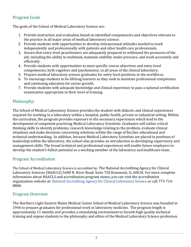## Program Goals

The goals of the School of Medical Laboratory Science are:

- 1. Provide instruction and evaluation based on identified competencies and objectives relevant to the practice in all major areas of medical laboratory science.
- 2. Provide students with opportunities to develop interpersonal attitudes needed to work independently and professionally with patients and other health care professionals.
- 3. Assure that entry-level practitioners are adequately prepared to withstand the pressures of the job, including the ability to multitask, maintain stability under pressure, and work accurately and efficiently.
- 4. Provide students with opportunities to meet specific course objectives and entry-level competencies, both cognitive and psychomotor, in all areas of the clinical laboratory.
- 5. Prepare medical laboratory science graduates for entry level positions in the workforce.
- 6. To encourage students to be lifelong learners as they seek to maintain professional competence and continuing education for career growth.
- 7. Provide students with adequate knowledge and clinical experience to pass a national certification examination appropriate to their level of training.

## Philosophy:

The School of Medical Laboratory Science provides the student with didactic and clinical experiences required for working in a laboratory within a hospital, public health, private or industrial setting. Within the curriculum, the program provides exposure to the necessary experiences which lead to the development of competent practicing Medical Laboratory Scientists. Graduates will utilize critical thinking skills to identify problems, research knowledge relating to the problem, evaluate clinical situations and make decisions concerning solutions within the range of his/her educational and technical understanding. In addition, because Medical Laboratory Scientists are placed in positions of leadership within the laboratory, the school also provides an introduction to developing supervisory and management skills. The broad technical and professional experiences will enable future employers to develop the student's fullest potential as a working member of the laboratory and healthcare team.

## Program Accreditation

The School of Medical Laboratory Science is accredited by: The National Accrediting Agency for Clinical Laboratory Sciences (NAACLS) 5600 N. River Road, Suite 720 Rosemont, IL 60018. For more complete information about NAACLS and accreditation program status, you can visit the accreditation organization website at: National Accrediting Agency for Clinical Laboratory Science or call 773-714-8880. 

## Program Overview

The Northern Light Eastern Maine Medical Center School of Medical Laboratory Science was founded in 1946 to prepare graduates for professional work in laboratory medicine. The program length is approximately 11 months and provides a stimulating environment to furnish high quality technical training and expose students to the philosophy and ethics of the Medical Laboratory Science profession.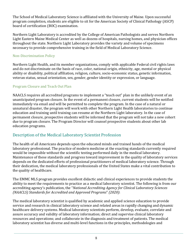The School of Medical Laboratory Science is affiliated with the University of Maine. Upon successful program completion, students are eligible to sit for the American Society of Clinical Pathology (ASCP) board of certification (BOC) examination.

Northern Light Laboratory is accredited by the College of American Pathologists and serves Northern Light Eastern Maine Medical Center as well as dozens of hospitals, nursing homes, and physician offices throughout the state. Northern Light Laboratory provides the variety and volume of specimens necessary to provide comprehensive training in the field of Medical Laboratory Science.

#### Non-Discrimination Policy

Northern Light Health, and its member organizations, comply with applicable Federal civil rights laws and do not discriminate on the basis of race, color, national origin, ethnicity, age, mental or physical ability or disability, political affiliation, religion, culture, socio-economic status, genetic information, veteran status, sexual orientation, sex, gender, gender identity or expression, or language.

## Program Closure and Teach Out Plan

NAACLS requires all accredited programs to implement a "teach out" plan in the unlikely event of an unanticipated program closure. In the event of a permanent closure, current students will be notified immediately via email and will be permitted to complete the program. In the case of a natural or unnatural disaster, the program will work with other Northern Light Health laboratories to continue education and training until training can resume at the Northern Light laboratory. In the case of permanent closure, prospective students will be informed that the program will not take a new cohort due to program closure. The Program Director will counsel prospective students about other lab education programs.

## Description of the Medical Laboratory Scientist Profession

The health of all Americans depends upon the educated minds and trained hands of the medical laboratory professional. The practice of modern medicine at the exacting standards currently required would be impossible without the scientific testing performed daily in the medical laboratory. Maintenance of these standards and progress toward improvement in the quality of laboratory services depends on the dedicated efforts of professional practitioners of medical laboratory science. Through their dedication, the medical laboratory professionals of the United States make a vital contribution to the quality of healthcare.

The EMMC MLS program provides excellent didactic and clinical experiences to provide students the ability to meet the requirements to practice as a medical laboratory scientist. The following is from our accrediting agency's publication, the "*National Accrediting Agency for Clinical Laboratory Sciences (NAACLS) Standards for Accredited and Approved Programs*" *(2020)*: 

The medical laboratory scientist is qualified by academic and applied science education to provide service and research in clinical laboratory science and related areas in rapidly changing and dynamic healthcare delivery systems. Medical laboratory scientists perform, develop, evaluate, correlate and assure accuracy and validity of laboratory information; direct and supervise clinical laboratory resources and operations; and collaborate in the diagnosis and treatment of patients. The medical laboratory scientist has diverse and multi-level functions in the principles, methodologies and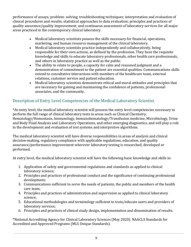performance of assays; problem- solving; troubleshooting techniques; interpretation and evaluation of clinical procedures and results; statistical approaches to data evaluation; principles and practices of quality assurance/quality improvement; and continuous assessment of laboratory services for all major areas practiced in the contemporary clinical laboratory.

- Medical laboratory scientists possess the skills necessary for financial, operations, marketing, and human resource management of the clinical laboratory.
- Medical laboratory scientists practice independently and collaboratively, being responsible for their own actions, as defined by the profession. They have the requisite knowledge and skills to educate laboratory professionals, other health care professionals, and others in laboratory practice as well as the public.
- The ability to relate to people, a capacity for calm and reasoned judgment and a demonstration of commitment to the patient are essential qualities. Communications skills extend to consultative interactions with members of the healthcare team, external relations, customer service and patient education.
- Medical laboratory scientists demonstrate ethical and moral attitudes and principles that are necessary for gaining and maintaining the confidence of patients, professional associates, and the community.

## Description of Entry Level Competencies of the Medical Laboratory Scientist

\*At entry level, the medical laboratory scientist will possess the entry level competencies necessary to perform the full range of clinical laboratory tests in areas such as Clinical Chemistry, Hematology/Hemostasis, Immunology, Immunohematology/Transfusion medicine, Microbiology, Urine and Body Fluid Analysis and Laboratory Operations, and other emerging diagnostics, and will play a role in the development and evaluation of test systems and interpretive algorithms.

The medical laboratory scientist will have diverse responsibilities in areas of analysis and clinical decision-making, regulatory compliance with applicable regulations, education, and quality assurance/performance improvement wherever laboratory testing is researched, developed or performed. 

At entry level, the medical laboratory scientist will have the following basic knowledge and skills in:

- 1. Application of safety and governmental regulations and standards as applied to clinical laboratory science;
- 2. Principles and practices of professional conduct and the significance of continuing professional development;
- 3. Communications sufficient to serve the needs of patients, the public and members of the health care team;
- 4. Principles and practices of administration and supervision as applied to clinical laboratory science;
- 5. Educational methodologies and terminology sufficient to train/educate users and providers of laboratory services:
- 6. Principles and practices of clinical study design, implementation and dissemination of results.

\*National Accrediting Agency for Clinical Laboratory Sciences (May 2020). NAACLS Standards for Accredited and Approved Programs (MLS Unique Standards).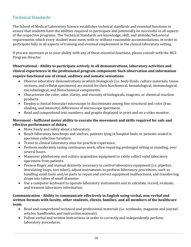## Technical Standards

The School of Medical Laboratory Science establishes technical standards and essential functions to ensure that students have the abilities required to participate and potentially be successful in all aspects of the respective programs. The Technical Standards are knowledge, skill, and attitude/behavioral requirements which every student must meet, with or without reasonable accommodations, in order to participate fully in all aspects of training and eventual employment in the clinical laboratory setting.

If you are uncertain as to your ability with any of these essential functions, please consult with the MLS Program Director.

#### **Observational** - Ability to participate actively in all demonstrations, laboratory activities and clinical experiences in the professional program component. Such observation and information require functional use of visual, auditory and somatic sensations.

- Observe laboratory demonstrations in which biologicals (i.e. body fluids, culture materials, tissue sections, and cellular specimens) are tested for their biochemical, hematological, immunological, microbiological, and histochemical components.
- Characterize the color, odor, clarity, and viscosity of biologicals, reagents, or chemical reaction products.
- Employ a clinical binocular microscope to discriminate among fine structural and color (hue, shading, and intensity) differences of microscope specimens.
- Read and comprehend text, numbers, and graphs displayed in print and on a video monitor.

#### **Movement** - Sufficient motor ability to execute the movement and skills required for safe and **effective performance of duties.**

- Move freely and safely about a laboratory.
- Reach laboratory benchtops and shelves, patients lying in hospital beds, or patients seated in specimen collection furniture.
- Travel to clinical laboratory sites for practical experience.
- Perform moderately taxing continuous work, often requiring prolonged sitting or standing, over several hours.
- Maneuver phlebotomy and culture acquisition equipment to safely collect valid laboratory specimens from patients.
- Possess finger and manual dexterity necessary to control laboratory equipment (i.e. pipettes, inoculating loops, test tubes), adjust instruments to perform laboratory procedures, such as handling small tools and/or parts to repair and correct equipment malfunctions, and transferring drops into tubes of small diameter.
- Use a computer keyboard to operate laboratory instruments and to calculate, record, evaluate, and transmit laboratory information.

#### **Communication** - Ability to communicate effectively in English using verbal, non-verbal and written formats with faculty, other students, clients, families, and all members of the healthcare **team.**

- Read and comprehend technical and professional materials (i.e. textbooks, magazine and journal articles, handbooks, and instruction manuals).
- Follow verbal and written instructions in order to correctly and independently perform laboratory procedures.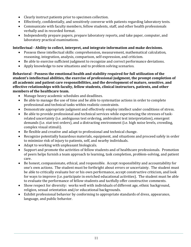- Clearly instruct patients prior to specimen collection.
- Effectively, confidentially, and sensitively converse with patients regarding laboratory tests.
- Communicate with faculty members, fellow students, staff, and other health professionals verbally and in recorded format.
- Independently prepare papers, prepare laboratory reports, and take paper, computer, and laboratory practical examinations.

#### Intellectual - Ability to collect, interpret, and integrate information and make decisions.

- Possess these intellectual skills: comprehension, measurement, mathematical calculation, reasoning, integration, analysis, comparison, self-expression, and criticism.
- Be able to exercise sufficient judgment to recognize and correct performance deviations.
- Apply knowledge to new situations and to problem solving scenarios.

**Behavioral - Possess the emotional health and stability required for full utilization of the** student's intellectual abilities, the exercise of professional judgment, the prompt completion of all academic and patient care responsibilities, and the development of mature, sensitive, and effective relationships with faculty, fellow students, clinical instructors, patients, and other members of the healthcare team.

- Manage heavy academic schedules and deadlines.
- Be able to manage the use of time and be able to systematize actions in order to complete professional and technical tasks within realistic constraints.
- Demonstrate appropriate judgment and effectively employ intellect under conditions of stress.
- Be able to provide professional and technical services while experiencing the stresses of taskrelated uncertainty (i.e. ambiguous test ordering, ambivalent test interpretation), emergent demands (i.e. stat test orders), and a distracting environment (i.e. high noise levels, crowding, complex visual stimuli).
- Be flexible and creative and adapt to professional and technical change.
- Recognize potentially hazardous materials, equipment, and situations and proceed safely in order to minimize risk of injury to patients, self, and nearby individuals.
- $\bullet$  Adapt to working with unpleasant biologicals.
- Support and promote the activities of fellow students and of healthcare professionals. Promotion of peers helps furnish a team approach to learning, task completion, problem-solving, and patient care.
- Be honest, compassionate, ethical, and responsible. Accept responsibility and accountability for one's own actions. The student must be forthright about errors or uncertainty. The student must be able to critically evaluate her or his own performance, accept constructive criticism, and look for ways to improve (i.e. participate in enriched educational activities). The student must be able to evaluate the performance of fellow students and tactfully offer constructive comments.
- Show respect for diversity: works well with individuals of different age, ethnic background, religion, sexual orientation and/or educational backgrounds.
- Exhibit professional behavior by conforming to appropriate standards of dress, appearance, language, and public behavior.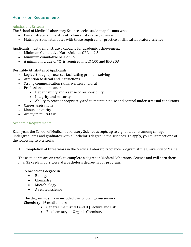## **Admission Requirements**

#### Admissions Criteria

The School of Medical Laboratory Science seeks student applicants who:

- Demonstrate familiarity with clinical laboratory science
- Match personal attributes with those required for practice of clinical laboratory science

Applicants must demonstrate a capacity for academic achievement:

- Minimum Cumulative Math/Science GPA of 2.5
- Minimum cumulative GPA of 2.5
- A minimum grade of "C" is required in BIO 100 and BIO 208

Desirable Attributes of Applicants:

- Logical thought processes facilitating problem solving
- Attention to detail and instructions
- Strong communication skills, written and oral
- Professional demeanor
	- Dependability and a sense of responsibility
	- Integrity and maturity
	- Ability to react appropriately and to maintain poise and control under stressful conditions
- Career aspirations
- Manual dexterity
- Ability to multi-task

#### Academic Requirements

Each year, the School of Medical Laboratory Science accepts up to eight students among college undergraduates and graduates with a Bachelor's degree in the sciences. To apply, you must meet one of the following two criteria:

1. Completion of three years in the Medical Laboratory Science program at the University of Maine

These students are on track to complete a degree in Medical Laboratory Science and will earn their final 32 credit hours toward a bachelor's degree in our program.

- 2. A bachelor's degree in:
	- Biology
	- Chemistry
	- Microbiology
	- A related science

The degree must have included the following coursework: Chemistry: 16 credit hours

- General Chemistry I and II (Lecture and Lab)
- Biochemistry or Organic Chemistry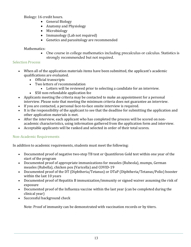Biology: 16 credit hours.

- General Biology
- Anatomy and Physiology
- Microbiology
- Immunology (Lab not required)
- Genetics and parasitology are recommended

#### Mathematics:

• One course in college mathematics including precalculus or calculus. Statistics is strongly recommended but not required.

#### **Selection Process**

- When all of the application materials items have been submitted, the applicant's academic qualifications are evaluated.
	- Official transcripts
	- Two letters of recommendation
		- Letters will be reviewed prior to selecting a candidate for an interview.
	- \$50 non-refundable application fee
- Applicants meeting the criteria may be contacted to make an appointment for a personal interview. Please note that meeting the minimum criteria does not guarantee an interview.
- If you are contacted, a personal face-to-face onsite interview is required.
- It is the responsibility of the applicant to see that the deadline for submitting the application and other application materials is met.
- After the interview, each applicant who has completed the process will be scored on nonacademic characteristics, using information gathered from the application form and interview.
- Acceptable applicants will be ranked and selected in order of their total scores.

#### Non-Academic Requirements

In addition to academic requirements, students must meet the following:

- Documented proof of negative two-step TB test or Quantiferon Gold test within one year of the start of the program
- Documented proof of appropriate immunizations for measles (Rubeola), mumps, German measles (Rubella), chicken pox (Varicella) and COVID-19
- Documented proof of the DT (Diphtheria/Tetanus) or DTaP (Diphtheria/Tetanus/Polio) booster within the last 10 years
- Documented proof of Hepatitis B immunization/immunity or signed waiver assuming the risk of exposure
- Documented proof of the Influenza vaccine within the last year (can be completed during the clinical year)
- Successful background check

Note: Proof of immunity can be demonstrated with vaccination records or by titers.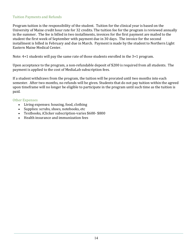#### Tuition Payments and Refunds

Program tuition is the responsibility of the student. Tuition for the clinical year is based on the University of Maine credit hour rate for 32 credits. The tuition fee for the program is reviewed annually in the summer. The fee is billed in two installments, invoices for the first payment are mailed to the student the first week of September with payment due in 30 days. The invoice for the second installment is billed in February and due in March. Payment is made by the student to Northern Light Eastern Maine Medical Center.

Note:  $4+1$  students will pay the same rate of those students enrolled in the  $3+1$  program.

Upon acceptance to the program, a non-refundable deposit of \$200 is required from all students. The payment is applied to the cost of MediaLab subscription fees.

If a student withdraws from the program, the tuition will be prorated until two months into each semester. After two months, no refunds will be given. Students that do not pay tuition within the agreed upon timeframe will no longer be eligible to participate in the program until such time as the tuition is paid. 

#### Other Expenses

- Living expenses: housing, food, clothing
- Supplies: scrubs, shoes, notebooks, etc
- Textbooks, iClicker subscription-varies \$600- \$800
- Health insurance and immunization fees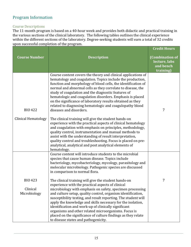## Program Information

#### **Course Descriptions**

The 11-month program is based on a 40-hour week and provides both didactic and practical training in the various sections of the clinical laboratory. The following tables outlines the clinical experience within the different sections of the laboratory. Degree-seeking students will earn a total of 32 credits upon successful completion of the program.

| <b>Course Number</b>                       | <b>Description</b>                                                                                                                                                                                                                                                                                                                                                                                                                                                                                                                                                                               | <b>Credit Hours</b><br>(Combination of<br>lecture, labs<br>and bench<br>training) |
|--------------------------------------------|--------------------------------------------------------------------------------------------------------------------------------------------------------------------------------------------------------------------------------------------------------------------------------------------------------------------------------------------------------------------------------------------------------------------------------------------------------------------------------------------------------------------------------------------------------------------------------------------------|-----------------------------------------------------------------------------------|
| <b>BIO 422</b>                             | Course content covers the theory and clinical applications of<br>hematology and coagulation. Topics include the production,<br>function and morphology of blood cells, the identification of<br>normal and abnormal cells as they correlate to disease, the<br>study of coagulation and the diagnostic features of<br>hematologic and coagulation disorders. Emphasis is placed<br>on the significance of laboratory results obtained as they<br>related to diagnosing hematologic and coagulopathy blood<br>diseases and disorders.                                                             | 7                                                                                 |
| <b>Clinical Hematology</b>                 | The clinical training will give the student hands-on<br>experience with the practical aspects of clinical hematology<br>and coagulation with emphasis on principles, methodology,<br>quality control, instrumentation and manual methods to<br>assist with the understanding of result interpretation,<br>quality control and troubleshooting. Focus is placed on pre-<br>analytical, analytical and post analytical elements of<br>hematology.                                                                                                                                                  |                                                                                   |
|                                            | Course content will introduce students to the microbial<br>species that cause human disease. Topics include<br>bacteriology, mycobacteriology, mycology, parasitology and<br>molecular microbiology. Pathogenic species are discussed<br>in comparison to normal flora.                                                                                                                                                                                                                                                                                                                          |                                                                                   |
| <b>BIO 423</b><br>Clinical<br>Microbiology | The clinical training will give the student hands-on<br>experience with the practical aspects of clinical<br>microbiology with emphasis on safety, specimen processing<br>and culture setup, quality control, organism identification,<br>susceptibility testing, and result reporting. The student will<br>apply the knowledge and skills necessary for the isolation,<br>identification and work-up of clinically significant<br>organisms and other related microorganisms. Focus is<br>placed on the significance of culture findings as they relate<br>to disease states and pathogenicity. | 7                                                                                 |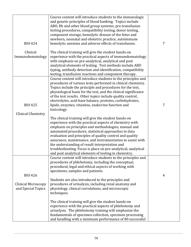| Course content will introduce students to the immunologic<br>and genetic principles of blood banking. Topics include<br>ABO, Rh and other blood group systems; pre-transfusion<br>testing procedures, compatibility testing, donor testing,<br>component storage, hemolytic disease of the fetus and<br>newborn, neonatal and obstetric practice, autoimmune<br><b>BIO 424</b><br>hemolytic anemias and adverse effects of transfusion.<br>7<br>Clinical<br>The clinical training will give the student hands-on<br>Immunohematology<br>experience with the practical aspects of immunohematology<br>with emphasis on pre-analytical, analytical and post<br>analytical elements of testing. Test methods include ABO<br>typing, antibody detection and identification, compatibility<br>testing, transfusion reactions and component therapy.<br>Course content will introduce students to the principles and<br>procedures of various tests performed in clinical chemistry.<br>Topics include the principle and procedures for the test,<br>physiological basis for the test, and the clinical significance<br>of the test results. Other topics include quality control,<br>electrolytes, acid-base balance, proteins, carbohydrates,<br><b>BIO 425</b><br>lipids, enzymes, vitamins, endocrine function and<br>7<br>toxicology. |
|--------------------------------------------------------------------------------------------------------------------------------------------------------------------------------------------------------------------------------------------------------------------------------------------------------------------------------------------------------------------------------------------------------------------------------------------------------------------------------------------------------------------------------------------------------------------------------------------------------------------------------------------------------------------------------------------------------------------------------------------------------------------------------------------------------------------------------------------------------------------------------------------------------------------------------------------------------------------------------------------------------------------------------------------------------------------------------------------------------------------------------------------------------------------------------------------------------------------------------------------------------------------------------------------------------------------------------------|
|                                                                                                                                                                                                                                                                                                                                                                                                                                                                                                                                                                                                                                                                                                                                                                                                                                                                                                                                                                                                                                                                                                                                                                                                                                                                                                                                      |
|                                                                                                                                                                                                                                                                                                                                                                                                                                                                                                                                                                                                                                                                                                                                                                                                                                                                                                                                                                                                                                                                                                                                                                                                                                                                                                                                      |
|                                                                                                                                                                                                                                                                                                                                                                                                                                                                                                                                                                                                                                                                                                                                                                                                                                                                                                                                                                                                                                                                                                                                                                                                                                                                                                                                      |
|                                                                                                                                                                                                                                                                                                                                                                                                                                                                                                                                                                                                                                                                                                                                                                                                                                                                                                                                                                                                                                                                                                                                                                                                                                                                                                                                      |
|                                                                                                                                                                                                                                                                                                                                                                                                                                                                                                                                                                                                                                                                                                                                                                                                                                                                                                                                                                                                                                                                                                                                                                                                                                                                                                                                      |
|                                                                                                                                                                                                                                                                                                                                                                                                                                                                                                                                                                                                                                                                                                                                                                                                                                                                                                                                                                                                                                                                                                                                                                                                                                                                                                                                      |
|                                                                                                                                                                                                                                                                                                                                                                                                                                                                                                                                                                                                                                                                                                                                                                                                                                                                                                                                                                                                                                                                                                                                                                                                                                                                                                                                      |
|                                                                                                                                                                                                                                                                                                                                                                                                                                                                                                                                                                                                                                                                                                                                                                                                                                                                                                                                                                                                                                                                                                                                                                                                                                                                                                                                      |
|                                                                                                                                                                                                                                                                                                                                                                                                                                                                                                                                                                                                                                                                                                                                                                                                                                                                                                                                                                                                                                                                                                                                                                                                                                                                                                                                      |
|                                                                                                                                                                                                                                                                                                                                                                                                                                                                                                                                                                                                                                                                                                                                                                                                                                                                                                                                                                                                                                                                                                                                                                                                                                                                                                                                      |
|                                                                                                                                                                                                                                                                                                                                                                                                                                                                                                                                                                                                                                                                                                                                                                                                                                                                                                                                                                                                                                                                                                                                                                                                                                                                                                                                      |
|                                                                                                                                                                                                                                                                                                                                                                                                                                                                                                                                                                                                                                                                                                                                                                                                                                                                                                                                                                                                                                                                                                                                                                                                                                                                                                                                      |
|                                                                                                                                                                                                                                                                                                                                                                                                                                                                                                                                                                                                                                                                                                                                                                                                                                                                                                                                                                                                                                                                                                                                                                                                                                                                                                                                      |
|                                                                                                                                                                                                                                                                                                                                                                                                                                                                                                                                                                                                                                                                                                                                                                                                                                                                                                                                                                                                                                                                                                                                                                                                                                                                                                                                      |
|                                                                                                                                                                                                                                                                                                                                                                                                                                                                                                                                                                                                                                                                                                                                                                                                                                                                                                                                                                                                                                                                                                                                                                                                                                                                                                                                      |
|                                                                                                                                                                                                                                                                                                                                                                                                                                                                                                                                                                                                                                                                                                                                                                                                                                                                                                                                                                                                                                                                                                                                                                                                                                                                                                                                      |
|                                                                                                                                                                                                                                                                                                                                                                                                                                                                                                                                                                                                                                                                                                                                                                                                                                                                                                                                                                                                                                                                                                                                                                                                                                                                                                                                      |
|                                                                                                                                                                                                                                                                                                                                                                                                                                                                                                                                                                                                                                                                                                                                                                                                                                                                                                                                                                                                                                                                                                                                                                                                                                                                                                                                      |
|                                                                                                                                                                                                                                                                                                                                                                                                                                                                                                                                                                                                                                                                                                                                                                                                                                                                                                                                                                                                                                                                                                                                                                                                                                                                                                                                      |
|                                                                                                                                                                                                                                                                                                                                                                                                                                                                                                                                                                                                                                                                                                                                                                                                                                                                                                                                                                                                                                                                                                                                                                                                                                                                                                                                      |
|                                                                                                                                                                                                                                                                                                                                                                                                                                                                                                                                                                                                                                                                                                                                                                                                                                                                                                                                                                                                                                                                                                                                                                                                                                                                                                                                      |
|                                                                                                                                                                                                                                                                                                                                                                                                                                                                                                                                                                                                                                                                                                                                                                                                                                                                                                                                                                                                                                                                                                                                                                                                                                                                                                                                      |
| <b>Clinical Chemistry</b>                                                                                                                                                                                                                                                                                                                                                                                                                                                                                                                                                                                                                                                                                                                                                                                                                                                                                                                                                                                                                                                                                                                                                                                                                                                                                                            |
| The clinical training will give the student hands-on                                                                                                                                                                                                                                                                                                                                                                                                                                                                                                                                                                                                                                                                                                                                                                                                                                                                                                                                                                                                                                                                                                                                                                                                                                                                                 |
| experience with the practical aspects of chemistry with                                                                                                                                                                                                                                                                                                                                                                                                                                                                                                                                                                                                                                                                                                                                                                                                                                                                                                                                                                                                                                                                                                                                                                                                                                                                              |
| emphasis on principles and methodologies, manual and                                                                                                                                                                                                                                                                                                                                                                                                                                                                                                                                                                                                                                                                                                                                                                                                                                                                                                                                                                                                                                                                                                                                                                                                                                                                                 |
| automated procedures, statistical approaches to data                                                                                                                                                                                                                                                                                                                                                                                                                                                                                                                                                                                                                                                                                                                                                                                                                                                                                                                                                                                                                                                                                                                                                                                                                                                                                 |
| evaluation and principles of quality control and quality                                                                                                                                                                                                                                                                                                                                                                                                                                                                                                                                                                                                                                                                                                                                                                                                                                                                                                                                                                                                                                                                                                                                                                                                                                                                             |
| assurance, maintenance, and instrumentation to assist with                                                                                                                                                                                                                                                                                                                                                                                                                                                                                                                                                                                                                                                                                                                                                                                                                                                                                                                                                                                                                                                                                                                                                                                                                                                                           |
| the understanding of result interpretation and                                                                                                                                                                                                                                                                                                                                                                                                                                                                                                                                                                                                                                                                                                                                                                                                                                                                                                                                                                                                                                                                                                                                                                                                                                                                                       |
| troubleshooting. Focus is place on pre-analytical, analytical                                                                                                                                                                                                                                                                                                                                                                                                                                                                                                                                                                                                                                                                                                                                                                                                                                                                                                                                                                                                                                                                                                                                                                                                                                                                        |
| and post analytical elements of testing in chemistry.                                                                                                                                                                                                                                                                                                                                                                                                                                                                                                                                                                                                                                                                                                                                                                                                                                                                                                                                                                                                                                                                                                                                                                                                                                                                                |
| Course content will introduce students to the principles and                                                                                                                                                                                                                                                                                                                                                                                                                                                                                                                                                                                                                                                                                                                                                                                                                                                                                                                                                                                                                                                                                                                                                                                                                                                                         |
| procedures of phlebotomy, including the conceptual,                                                                                                                                                                                                                                                                                                                                                                                                                                                                                                                                                                                                                                                                                                                                                                                                                                                                                                                                                                                                                                                                                                                                                                                                                                                                                  |
| procedural, legal and ethical aspects of working with                                                                                                                                                                                                                                                                                                                                                                                                                                                                                                                                                                                                                                                                                                                                                                                                                                                                                                                                                                                                                                                                                                                                                                                                                                                                                |
| specimens, samples and patients.                                                                                                                                                                                                                                                                                                                                                                                                                                                                                                                                                                                                                                                                                                                                                                                                                                                                                                                                                                                                                                                                                                                                                                                                                                                                                                     |
| <b>BIO 426</b><br>4                                                                                                                                                                                                                                                                                                                                                                                                                                                                                                                                                                                                                                                                                                                                                                                                                                                                                                                                                                                                                                                                                                                                                                                                                                                                                                                  |
| Students are also introduced to the principles and                                                                                                                                                                                                                                                                                                                                                                                                                                                                                                                                                                                                                                                                                                                                                                                                                                                                                                                                                                                                                                                                                                                                                                                                                                                                                   |
| procedures of urinalysis, including renal anatomy and<br><b>Clinical Microscopy</b>                                                                                                                                                                                                                                                                                                                                                                                                                                                                                                                                                                                                                                                                                                                                                                                                                                                                                                                                                                                                                                                                                                                                                                                                                                                  |
| and Special Topics<br>physiology, clinical correlations, and microscopic                                                                                                                                                                                                                                                                                                                                                                                                                                                                                                                                                                                                                                                                                                                                                                                                                                                                                                                                                                                                                                                                                                                                                                                                                                                             |
| techniques.                                                                                                                                                                                                                                                                                                                                                                                                                                                                                                                                                                                                                                                                                                                                                                                                                                                                                                                                                                                                                                                                                                                                                                                                                                                                                                                          |
|                                                                                                                                                                                                                                                                                                                                                                                                                                                                                                                                                                                                                                                                                                                                                                                                                                                                                                                                                                                                                                                                                                                                                                                                                                                                                                                                      |
| The clinical training will give the student hands-on                                                                                                                                                                                                                                                                                                                                                                                                                                                                                                                                                                                                                                                                                                                                                                                                                                                                                                                                                                                                                                                                                                                                                                                                                                                                                 |
| experience with the practical aspects of phlebotomy and                                                                                                                                                                                                                                                                                                                                                                                                                                                                                                                                                                                                                                                                                                                                                                                                                                                                                                                                                                                                                                                                                                                                                                                                                                                                              |
| urinalysis. The phlebotomy training will emphasize the                                                                                                                                                                                                                                                                                                                                                                                                                                                                                                                                                                                                                                                                                                                                                                                                                                                                                                                                                                                                                                                                                                                                                                                                                                                                               |
| fundamentals of specimen collection, specimen processing                                                                                                                                                                                                                                                                                                                                                                                                                                                                                                                                                                                                                                                                                                                                                                                                                                                                                                                                                                                                                                                                                                                                                                                                                                                                             |
| and handling with a minimum performance of 80 successful                                                                                                                                                                                                                                                                                                                                                                                                                                                                                                                                                                                                                                                                                                                                                                                                                                                                                                                                                                                                                                                                                                                                                                                                                                                                             |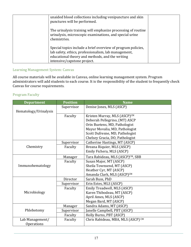| unaided blood collections including venipuncture and skin<br>punctures will be performed.                                                                                                              |  |
|--------------------------------------------------------------------------------------------------------------------------------------------------------------------------------------------------------|--|
| The urinalysis training will emphasize processing of routine<br>urinalysis, microscopic examinations, and special urine<br>chemistries.                                                                |  |
| Special topics include a brief overview of program policies,<br>lab safety, ethics, professionalism, lab management,<br>educational theory and methods, and the writing<br>intensive/capstone project. |  |

#### Learning Management System: Canvas

All course materials will be available in Canvas, online learning management system. Program administrators will add students to each course. It is the responsibility of the student to frequently check Canvas for course requirements.

#### Program Faculty

| <b>Department</b>     | <b>Position</b> | <b>Name</b>                                   |  |
|-----------------------|-----------------|-----------------------------------------------|--|
|                       | Supervisor      | Denise Jones, MLS (ASCP)                      |  |
| Hematology/Urinalysis |                 |                                               |  |
|                       | Faculty         | Kristen Murray, MLS (ASCP) <sup>CM</sup>      |  |
|                       |                 | Deborah Pellegrino, (MT) ASCP                 |  |
|                       |                 | Orin Buetens, MD, Pathologist                 |  |
|                       |                 | Mayur Movalia, MD, Pathologist                |  |
|                       |                 | Scott Dufresne, MD, Pathologist               |  |
|                       |                 | Chelsey Gracia, DO, Pathologist               |  |
|                       | Supervisor      | Catherine Hastings, MT (ASCP)                 |  |
| Chemistry             | Faculty         | Breana Riquier, MLS (ASCP)                    |  |
|                       |                 | Emily Fichera, MLS (ASCP)                     |  |
|                       | Manager         | Tara Rabideau, MLS (ASCP) <sup>CM</sup> , SBB |  |
| Immunohematology      | Faculty         | Susan Major, MT (ASCP)                        |  |
|                       |                 | Sheila Townsend, MT (ASCP)                    |  |
|                       |                 | Heather Cyr, MT (ASCP)                        |  |
|                       |                 | Amanda Clark, MLS (ASCP)CM                    |  |
|                       | Director        | Sarah Buss, PhD                               |  |
|                       | Supervisor      | Erin Estes, MLS (ASCP)                        |  |
| Microbiology          | Faculty         | Emily Treadwell, MLS (ASCP)                   |  |
|                       |                 | Karen Thibodeau, MT (ASCP)                    |  |
|                       |                 | April Ames, MLS (ASCP)                        |  |
|                       |                 | Megan Bard, MT (ASCP)                         |  |
|                       | Manager         | Sandra Adams, MT (ASCP)                       |  |
| Phlebotomy            | Supervisor      | Janelle Campbell, PBT (ASCP)                  |  |
|                       | Faculty         | Holly Burns, PBT (ASCP)                       |  |
| Lab Management/       | Faculty         | Chris Rabideau, MBA, MLS (ASCP) CM            |  |
| Operations            |                 |                                               |  |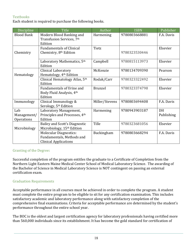#### **Textbooks**

Each student is required to purchase the following books.

| Discipline        | <b>Title</b>                        | Author         | <b>ISBN</b>   | Publisher  |
|-------------------|-------------------------------------|----------------|---------------|------------|
| <b>Blood Bank</b> | Modern Blood Banking and            | Harmening      | 9780803668881 | F.A. Davis |
|                   | Transfusion Services, 7th           |                |               |            |
|                   | Edition                             |                |               |            |
|                   | <b>Fundamentals of Clinical</b>     | Tietz          |               | Elsevier   |
| Chemistry         | Chemistry, 8 <sup>th</sup> Edition  |                | 9780323530446 |            |
|                   | Laboratory Mathematics, 5th         | Campbell       | 9780815113973 | Elsevier   |
|                   | Edition                             |                |               |            |
|                   | Clinical Laboratory                 | McKenzie       | 9780134709390 | Pearson    |
| Hematology        | Hematology, 4 <sup>th</sup> Edition |                |               |            |
|                   | Clinical Hematology Atlas, 5th      | Rodak/Carr     | 9780323322492 | Elsevier   |
|                   | Edition                             |                |               |            |
|                   | <b>Fundamentals of Urine and</b>    | <b>Brunzel</b> | 9780323374798 | Elsevier   |
|                   | Body Fluid Analysis, 4th            |                |               |            |
|                   | Edition                             |                |               |            |
| Immunology        | Clinical Immunology &               | Miller/Stevens | 9780803694408 | F.A. Davis |
|                   | Serology, 5 <sup>th</sup> Edition   |                |               |            |
| Lab               | Laboratory Management,              | Harmening      | 9780943903187 | DH         |
| Management/       | Principles and Processes, 4th       |                |               | Publishing |
| <b>Operations</b> | Edition                             |                |               |            |
|                   | Bailey and Scott's Diagnostic       | Tille          | 9780323681056 | Elsevier   |
| Microbiology      | Microbiology, 15th Edition          |                |               |            |
|                   | <b>Molecular Diagnostics:</b>       | Buckingham     | 9780803668294 | F.A. Davis |
|                   | Fundamentals, Methods and           |                |               |            |
|                   | <b>Clinical Applications</b>        |                |               |            |

#### Granting of the Degree:

Successful completion of the program entitles the graduate to a Certificate of Completion from the Northern Light Eastern Maine Medical Center School of Medical Laboratory Science. The awarding of the Bachelor of Science in Medical Laboratory Science is NOT contingent on passing an external certification exam.

#### Graduation Requirements

Acceptable performance in all courses must be achieved in order to complete the program. A student must complete the entire program to be eligible to sit for any certification examination. This includes satisfactory academic and laboratory performance along with satisfactory completion of the comprehensive final examinations. Criteria for acceptable performance are determined by the student's performance throughout the entire school year.

The BOC is the oldest and largest certification agency for laboratory professionals having certified more than 560,000 individuals since its establishment. It has become the gold standard for certification of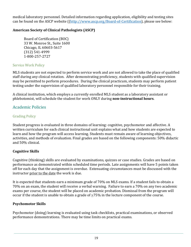medical laboratory personnel. Detailed information regarding application, eligibility and testing sites can be found on the ASCP website ((http://www.ascp.org/Board-of-Certification), please see below:

#### American Society of Clinical Pathologists (ASCP)

Board of Certification (BOC) 33 W. Monroe St., Suite 1600 Chicago, IL 60603-5617 (312) 541-4999 1-800-257-2727 

#### **Service Work Policy**

MLS students are not expected to perform service work and are not allowed to take the place of qualified staff during any clinical rotation. After demonstrating proficiency, students with qualified supervision may be permitted to perform procedures. During the clinical practicum, students may perform patient testing under the supervision of qualified laboratory personnel responsible for their training.

A clinical institution, which employs a currently enrolled MLS student as a laboratory assistant or phlebotomist, will schedule the student for work ONLY during **non-instructional hours**.

## Academic Policies

#### **Grading Policy**

Student progress is evaluated in three domains of learning: cognitive, psychomotor and affective. A written curriculum for each clinical instructional unit explains what and how students are expected to learn and how the program will access learning. Students must remain aware of learning objectives, activities, and methods of evaluation. Final grades are based on the following components: 50% didactic and 50% clinical. 

#### **Cognitive Skills**

Cognitive (thinking) skills are evaluated by examinations, quizzes or case studies. Grades are based on performance as demonstrated within scheduled time periods. Late assignments will have 5 points taken off for each day that the assignment is overdue. Extenuating circumstances must be discussed with the instructor prior to the date the work is due.

It is expected that students earn a minimum grade of 70% on MLS exams. If a student fails to obtain a 70% on an exam, the student will receive a verbal warning. Failure to earn a 70% on any two academic exams per course, the student will be placed on academic probation. Dismissal from the program will occur if the student is unable to obtain a grade of  $\geq$ 75% in the lecture component of the course.

#### **Psychomotor Skills**

Psychomotor (doing) learning is evaluated using task checklists, practical examinations, or observed performance demonstrations. There may be time limits on practical exams.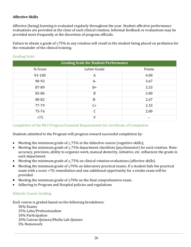#### **Affective Skills**

Affective (being) learning is evaluated regularly throughout the year. Student affective performance evaluations are provided at the close of each clinical rotation. Informal feedback or evaluations may be provided more frequently at the discretion of program officials.

Failure to obtain a grade of >75% in any rotation will result in the student being placed on probation for the remainder of the clinical training.

| <b>Grading Scale for Student Performance</b> |              |        |  |
|----------------------------------------------|--------------|--------|--|
| % Score                                      | Letter Grade | Points |  |
| 93-100                                       | A            | 4.00   |  |
| 90-92                                        | $A-$         | 3.67   |  |
| 87-89                                        | $B+$         | 3.33   |  |
| 83-86                                        | B            | 3.00   |  |
| 80-82                                        | $B -$        | 2.67   |  |
| 77-79                                        | $C+$         | 2.33   |  |
| 75-76                                        | $\mathsf C$  | 2.00   |  |
| < 75                                         | F            |        |  |

#### **Grading Scale**

#### Completion of the MLS Program Essential Requirements for Certificate of Completion

Students admitted to the Program will progress toward successful completion by:

- Meeting the minimum grade of  $> 75\%$  in the didactive course (cognitive skills);
- Meeting the minimum grade of  $\geq$  75% department checklists (psychomotor) for each rotation. Note: accuracy, precision, ability to organize work, manual dexterity, initiative, etc. influences the grade in each department.
- Meeting the minimum grade of  $\geq$  75% on clinical rotation evaluations (affective skills)
- Meeting the minimum grade of  $\geq$ 70% on laboratory practical exams. If a student fails the practical exam with a score <70, remediation and one additional opportunity for a retake exam will be provided.
- Meeting the minimum grade of  $\geq$ 70% on the final comprehensive exam.
- Adhering to Program and Hospital policies and regulations

#### Didactic Course Grading

Each course is graded based on the following breakdown:

50% Exams 25% Labs/Professionalism 10% Participation 10% Canvas Quizzes/Media Lab Quizzes 5% Homework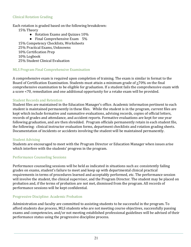#### **Clinical Rotation Grading**

Each rotation is graded based on the following breakdown:

15% Theory 

● Rotation Exams and Quizzes 10%

• Final Comprehensive Exam 5% 15% Competency Checklists, Worksheets 25% Practical Exams, Unknowns 10% Certification Prep 10% Logbook 25% Student Clinical Evaluation

## MLS Program Final Comprehensive Examination

A comprehensive exam is required upon completion of training. The exam is similar in format to the Board of Certification Examination. Students must attain a minimum grade of >70% on the final comprehensive examination to be eligible for graduation. If a student fails the comprehensive exam with a score <70, remediation and one additional opportunity for a retake exam will be provided.

#### Student Records and Retention

Student files are maintained in the Education Manager's office. Academic information pertinent to each student is maintained permanently in these files. While the student is in the program, current files are kept which include formative and summative evaluations, advising records, copies of official letters, records of grades and attendance, and accident reports. Formative evaluations are kept for one year following graduation, and are then shredded. Program officials permanently retain in each student file, the following: clinical instructor evaluation forms, department checklists and rotation grading sheets. Documentation of incidents or accidents involving the student will be maintained permanently.

#### Student Advising

Students are encouraged to meet with the Program Director or Education Manager when issues arise which interfere with the students' progress in the program.

#### Performance Counseling Sessions

Performance counseling sessions will be held as indicated in situations such as: consistently failing grades on exams, student's failure to meet and keep up with departmental clinical practical requirements in terms of procedures learned and acceptably performed, etc. The performance session will involve the student, the clinical supervisor, and the Program Director. The student may be placed on probation and, if the terms of probation are not met, dismissed from the program. All records of performance sessions will be kept confidential.

#### Progressive Discipline: Academic Probation

Administration and faculty are committed to assisting students to be successful in the program. To afford students due process, MLS students who are not meeting course objectives, successfully passing exams and competencies, and/or not meeting established professional guidelines will be advised of their performance status using the progressive discipline process.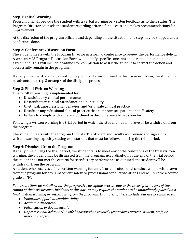#### **Step 1: Initial Warning**

Program officials provide the student with a verbal warning or written feedback as to their status. The Program Director counsels the student regarding criteria for success and makes recommendations for improvement. 

At the discretion of the program officials and depending on the situation, this step may be skipped and a conference done.

#### **Step 2: Conference/Discussion Form**

The student meets with the Program Director in a formal conference to review the performance deficit. A written MLS Program Discussion Form will identify specific concerns and a remediation plan or agreement. This will include deadlines for completion to assist the student to correct the deficit and successfully remain in the program.

If at any time the student does not comply with all terms outlined in the discussion form, the student will be advanced to step 3 or step 4 of the discipline process.

#### **Step 3: Final Written Warning**

Final written warning is implemented for:

- Unsatisfactory clinical performance
- Unsatisfactory clinical attendance and punctuality
- Unethical, unprofessional behavior, and/or unsafe clinical practice
- Unsafe or unprofessional clinical practice that compromises patient or staff safety
- $\bullet$  Failure to comply with all terms outlined in the conference/discussion form

Following a written warning is a trial period in which the student must improve or be withdrawn from the program.

The student meets with the Program Officials. The student and faculty will review and sign a final written warning explicitly stating expectations that must be followed during the trial period.

#### **Step 4: Dismissal from the Program**

If at any time during the trial period, the student fails to meet any of the conditions of the final written warning, the student may be dismissed from the program. Accordingly, if at the end of the trial period the student has not met the criteria for satisfactory performance as outlined, the student will be withdrawn from the program.

A student who receives a final written warning for unsafe or unprofessional conduct will be withdrawn from the program for any subsequent safety or professional conduct violations and will receive a course grade of "F".

*Some situations do not allow for the progressive discipline process due to the severity or nature of the timing* of their occurrence. Incidents of this nature may require the student to be immediately placed on a *final written warning or withdrawal from the program. Examples of these include, but are not limited to:* 

- *Violations of patient confidentiality*
- *Academic dishonesty*
- *Falsification of documentation*
- *Unprofessional behavior/unsafe behavior that seriously jeopardizes patient, student, staff, or preceptor safety*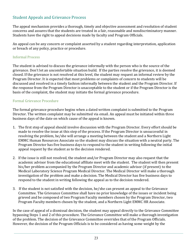## **Student Appeals and Grievance Process**

The appeal mechanism provides a thorough, timely and objective assessment and resolution of student concerns and assures that the students are treated in a fair, reasonable and nondiscriminatory manner. Students have the right to appeal decisions made by faculty and Program Officials.

An appeal can be any concern or complaint asserted by a student regarding interpretation, application or breach of any policy, practice or procedure.

#### Informal Process

The student is advised to discuss the grievance informally with the person who is the source of the grievance. Don't let an uncomfortable situation build. If the parties resolve the grievance, it is deemed closed. If the grievance is not resolved at this level, the student may request an informal review by the Program Director. It is expected that most problems or complaints of concern to students will be discussed and resolved in a timely fashion informally between the student and the Program Director. If the response from the Program Director is unacceptable to the student or if the Program Director is the basis of the complaint, the student may initiate the formal grievance procedure.

#### Formal Grievance Procedure

The formal grievance procedure begins when a dated written complaint is submitted to the Program Director. The written complaint may be submitted via email. An appeal must be initiated within three business days of the date on which cause of the appeal is known.

- 1. The first step of appeal should involve discussion with the Program Director. Every effort should be made to resolve the issue at this step of the process. If the Program Director is unsuccessful in resolving the problem, he/she will arrange a meeting between the student and a Northern Light EMMC Human Resources Associate so the student may discuss the situation with a neutral party. The Program Director has five business days to respond to the student in writing following the initial appeal request by the student as to the decision rendered.
- 2. If the issue is still not resolved, the student and/or Program Director may also request that the academic advisor from the educational affiliate meet with the student. The student will then present his/her problem accompanied by the Program Director and academic advisor (if present) to the Medical Laboratory Science Program Medical Director. The Medical Director will make a thorough investigation of the problem and make a decision. The Medical Director has five business days to respond to the student in writing following the appeal as to the decision rendered.
- 3. If the student is not satisfied with the decision, he/she can present an appeal to the Grievance Committee. The Grievance Committee shall have no prior knowledge of the issues or incident being grieved and be composed of two Program Faculty members chosen by the Program Director, two Program Faculty members chosen by the student, and a Northern Light EMMC HR Associate.

In the case of appeal of a dismissal decision, the student may appeal directly to the Grievance Committee bypassing Steps 1 and 2 of this procedure. The Grievance Committee will make a thorough investigation of the problem. The decision of the Grievance Committee overrides that of the Program Officials. However, the decision of the Program Officials is to be considered as having some weight by the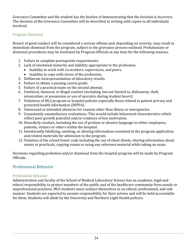Grievance Committee and the student has the burden of demonstrating that the decision is incorrect. The decision of the Grievance Committee will be described in writing with copies to all individuals involved. 

#### Program Dismissal

Breach of good conduct will be considered a serious offense and, depending on severity, may result in immediate dismissal from the program, subject to the grievance process outlined. Probationary or dismissal procedures may be instituted by Program Officials at any time for the following reasons:

- 1. Failure to complete prerequisite requirements.
- 2. Lack of emotional maturity and stability appropriate to the profession.
	- Inability to work with co-workers, supervisors, and peers.
	- $\bullet$  Inability to cope with stress of the profession.
- 3. Deliberate misrepresentation of laboratory results.
- 4. Failure to obtain a passing course grade.
- 5. Failure of a practical exam on the second attempt.
- 6. Unethical, immoral, or illegal conduct (including, but not limited to, dishonesty, theft, intoxication, or possession or use of narcotics during student hours).
- 7. Violations of MLS program or hospital policies especially those related to patient privacy and protected health information (HIPPA).
- 8. Unexcused or extended absences for reasons other than illness or emergencies.
- 9. Consistently unsatisfactory evaluations. This would include behavioral characteristics which reflect poor growth potential and/or evidence of low motivation.
- 10. Disorderly conduct, including the use of profane or abusive language to either employees, patients, visitors or others within the hospital.
- 11. Intentionally falsifying, omitting, or altering information contained in the program application and related materials for admission to the program.
- 12. Violation of the school honor code including the use of cheat sheets, sharing information about exams or practicals, copying exams or using any reference material while taking an exam.

Decisions regarding probation and/or dismissal from the hospital program will be made by Program Officials. 

## Professional Behavior

## Professional Behavior

Administration and faculty of the School of Medical Laboratory Science has an academic, legal and ethical responsibility to protect members of the public and of the healthcare community from unsafe or unprofessional practices. MLS students must conduct themselves in an ethical, professional, and safe manner. Students are expected to assume responsibility for their actions and will be held accountable for them. Students will abide by the University and Northern Light Health policies.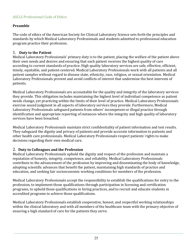#### ASCLS Professional Code of Ethics

### **Preamble**

The code of ethics of the American Society for Clinical Laboratory Science sets forth the principles and standards by which Medical Laboratory Professionals and students admitted to professional education program practice their profession.

### 1. **Duty to the Patient**

Medical Laboratory Professionals' primary duty is to the patient, placing the welfare of the patient above their own needs and desires and ensuring that each patient receives the highest quality of care according to current standards of practice. High quality laboratory services are safe, effective, efficient, timely, equitable, and patient-centered. Medical Laboratory Professionals work with all patients and all patient samples without regard to disease state, ethnicity, race, religion, or sexual orientation. Medical Laboratory Professionals prevent and avoid conflicts of interest that undermine the best interests of patients. 

Medical Laboratory Professionals are accountable for the quality and integrity of the laboratory services they provide. This obligation includes maintaining the highest level of individual competence as patient needs change, yet practicing within the limits of their level of practice. Medical Laboratory Professionals exercise sound judgment in all aspects of laboratory services they provide. Furthermore, Medical Laboratory Professionals safeguard patients from others' incompetent or illegal practice through identification and appropriate reporting of instances where the integrity and high quality of laboratory services have been breached.

Medical Laboratory Professionals maintain strict confidentiality of patient information and test results. They safeguard the dignity and privacy of patients and provide accurate information to patients and other health care professionals. Medical Laboratory Professionals respect patients' rights to make decisions regarding their own medical care.

#### 2. Duty to Colleagues and the Profession

Medical Laboratory Professionals uphold the dignity and respect of the profession and maintain a reputation of honesty, integrity, competence, and reliability. Medical Laboratory Professionals contribute to the advancement of the profession by improving and disseminating the body of knowledge, adopting scientific advances that benefit the patient, maintaining high standards of practice and education, and seeking fair socioeconomic working conditions for members of the profession.

Medical Laboratory Professionals accept the responsibility to establish the qualifications for entry to the profession, to implement those qualifications through participation in licensing and certification programs, to uphold those qualifications in hiring practices, and to recruit and educate students in accredited programs to achieve those qualifications.

Medical Laboratory Professionals establish cooperative, honest, and respectful working relationships within the clinical laboratory and with all members of the healthcare team with the primary objective of ensuring a high standard of care for the patients they serve.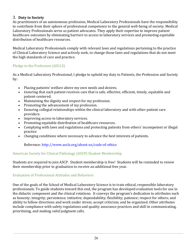#### **3. Duty to Society**

As practitioners of an autonomous profession, Medical Laboratory Professionals have the responsibility to contribute from their sphere of professional competence to the general well-being of society. Medical Laboratory Professionals serve as patient advocates. They apply their expertise to improve patient healthcare outcomes by eliminating barriers to access to laboratory services and promoting equitable distribution of healthcare resources.

Medical Laboratory Professionals comply with relevant laws and regulations pertaining to the practice of Clinical Laboratory Science and actively seek, to change those laws and regulations that do not meet the high standards of care and practice.

#### Pledge to the Profession (ASCLS)

As a Medical Laboratory Professional, I pledge to uphold my duty to Patients, the Profession and Society by: 

- Placing patients' welfare above my own needs and desires.
- Ensuring that each patient receives care that is safe, effective, efficient, timely, equitable and patient-centered.
- Maintaining the dignity and respect for my profession.
- Promoting the advancement of my profession.
- Ensuring collegial relationships within the clinical laboratory and with other patient care providers.
- Improving access to laboratory services.
- Promoting equitable distribution of healthcare resources.
- Complying with laws and regulations and protecting patients from others' incompetent or illegal practice
- Changing conditions where necessary to advance the best interests of patients.

#### Reference: http://www.ascls.org/about-us/code-of-ethics

#### American Society for Clinical Pathology (ASCP) Student Membership

Students are required to join ASCP. Student membership is free! Students will be reminded to renew their membership prior to graduation to receive an additional free year.

#### Evaluation of Professional Attitudes and Behaviors

One of the goals of the School of Medical Laboratory Science is to train ethical, responsible laboratory professionals. To guide students toward this end, the program has developed evaluation tools for use in the didactic component and the clinical rotations. It conveys the program's dedication to attributes such as honesty; integrity; persistence; initiative; dependability; flexibility; patience; respect for others; and ability to follow directions and work under stress; accept criticism; and be organized. Other attributes include compliance with safety regulations and quality assurance practices and skill in communicating, prioritizing, and making valid judgment calls.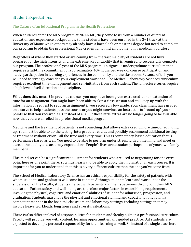## **Student Expectations**

#### The Culture of an Educational Program in the Health Professions

When students enter the MLS program at NL EMMC, they come to us from a number of different education and experience backgrounds. Some students have been enrolled in the 3+1 track at the University of Maine while others may already have a bachelor's or master's degree but need to complete our program to obtain the professional MLS credential to find employment in a medical laboratory.

Regardless of where they started or are coming from, the vast majority of students are not fully prepared for the high intensity and the extreme accountability that is required to successfully complete our program. The professional year of the MLS program is a rigorous undergraduate curriculum that requires a full-time commitment of approximately 40+ hours per week of course participation and study, participation in learning experiences in the community and the classroom. Because of this you will need to strongly consider your employment workload. The Medical Laboratory Sciences curriculum requires excellent time-management and self-initiative from each student. The fall lecture series require a high level of self-direction and discipline.

**What does this mean?** In previous courses you may have been given extra credit or an extension of time for an assignment. You might have been able to skip a class session and still keep up with the information or request to redo an assignment if you received a low grade. Your class might have graded on a curve to help students pass the course or you might convince an instructor to "round up" your points so that you received a B+ instead of a B. But these little extras are no longer going to be available now that you are enrolled in a professional medial program.

Medicine and the treatment of patients is not something that allows extra credit, more time, or rounding up. You must be able to do the testing, interpret the results, and possibly recommend additional testing or treatment without error – all the time and every time. This is competency-based education that is performance based as well. You need to be able to perform under stress, with a time limit, and meet or exceed the quality and accuracy expectations. People's lives are at stake; perhaps one of your own family members. 

This mind set can be a significant readjustment for students who are used to negotiating for one extra point here or one point there. You must learn and be able to apply the information in each course. It is important for you to understand that this is a very different culture than the one you've come from.

The School of Medical Laboratory Science has an ethical responsibility for the safety of patients with whom students and graduates will come in contact. Although students learn and work under the supervision of the faculty, students interact with patients and their specimens throughout their MLS education. Patient safety and well-being are therefore major factors in establishing requirements involving the physical, cognitive, and emotional abilities of student for admission, progression, and graduation. Students must have the physical and emotional stamina and capacity to function in a competent manner in the hospital, classroom and laboratory settings, including settings that may involve heavy workloads, long hours and stressful situations.

There is also different level of responsibilities for students and faculty alike in a professional curriculum. Faculty will provide you with content, learning opportunities, and guided practice. But students are expected to develop a personal responsibility for their learning as well. So instead of a single class here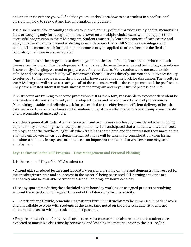and another class there you will find that you must also learn how to be a student in a professional curriculum; how to seek out and find information for vourself.

It is also important for incoming students to know that many of their previous study habits: memorizing facts or studying only for recognition of the answer on a multiple-choice exam will not support their successful progression in the MLS program. Students must truly learn the content of each course and apply it to the situations presented during exams. Be aware that all MLS courses are integrated in content. This means that information in one course may be applied to others because the field of laboratory medicine in also integrated.

One of the goals of the program is to develop your abilities as a life-long learner, one who can teach themselves throughout the development of their career. Because the science and technology of medicine is constantly changing, we need to prepare you for your future. Many students are not used to this culture and are upset that faculty will not answer their questions directly. But you should expect faculty to refer you to the resources and then if you still have questions come back for discussion. The faculty in the MLS Program will strive to teach you all of the content as well as the competencies of the profession. They have a vested interest in your success in the program and in your future professional life.

MLS students are training to become professionals. It is, therefore, reasonable to expect each student be in attendance 40 hours per week, and develop attitudes and habits characteristic of professionals. Maintaining a stable and reliable work force is critical to the effective and efficient delivery of health care services. Excessive tardiness and absenteeism negatively affect patient care and employee morale and are considered unacceptable.

A student's general attitude, attendance record, and promptness are heavily considered when judging dependability and willingness to accept responsibility. It is anticipated that a student will want to seek employment at the Northern Light Lab when training is completed and the impression they make on the staff and employees in various departmental rotations will be taken into consideration when hiring decisions are made. In any case, attendance is an important consideration wherever one may seek employment. 

#### Keys to Success in the MLS Program – Time Management and Personal Planning

It is the responsibility of the MLS student to:

• Attend ALL scheduled lecture and laboratory sessions, arriving on time and demonstrating respect for the speaker/instructor and an interest in the material being presented. All learning activities are mandatory and be available between the scheduled program hours each day.

• Use any spare time during the scheduled eight-hour day working on assigned projects or studying, without the expectation of regular time out of the laboratory for this activity.

• Be patient and flexible, remembering patients first. An instructor may be immersed in patient work and unavailable to work with students at the exact time noted on the class schedule. Students are encouraged to assist with the task at hand, if possible.

• Prepare ahead of time for every lab or lecture. Most course materials are online and students are expected to maximize class time by reviewing and learning the material prior to the lecture/lab.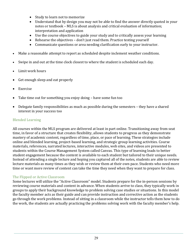- Study to learn not to memorize
- Understand that by design you may not be able to find the answer directly quoted in your notes or textbook – MLS is about analysis and critical evaluation of information; interpretation and application
- Use the course objectives to guide your study and to critically assess your learning
- Rehearse the objectives  $-$  don't just read them. Practice testing yourself
- Communicate questions or area needing clarification early to your instructor.
- Make a reasonable attempt to report as scheduled despite inclement weather conditions.
- Swipe in and out at the time clock closest to where the student is scheduled each day.
- Limit work hours
- Get enough sleep and eat properly
- **Exercise**
- Take time out for something you enjoy doing  $-$  have some fun too
- Delegate family responsibilities as much as possible during the semesters  $-$  they have a shared interest in your success too

#### **Blended Learning**

All courses within the MLS program are delivered at least in part online. Transitioning away from seat time, in favor of a structure that creates flexibility, allows students to progress as they demonstrate mastery of academic content, regardless of time, place, or pace of learning. These strategies include online and blended learning, project-based learning, and strategic group learning activities. Course materials, references, narrated lectures, interactive modules, web sites, and videos are presented to students within the Course Management System called Canvas. This type of learning leads to better student engagement because the content is available to each student but tailored to their unique needs. Instead of attending a single lecture and hoping you captured all of the notes, students are able to review lecture materials as many times as they wish or review them at their own pace. Students who need more time or want more review of content can take the time they need when they want to prepare for class.

#### The Flipped or Active Classroom

Some lectures will utilize the "Active Classroom" model. Students prepare for the in-person sessions by reviewing course materials and content in advance. When students arrive to class, they typically work in groups to apply their background knowledge to problem solving case studies or situations. In this model the faculty member acts as their guide and can provide instruction and corrective action as the students go through the work problems. Instead of sitting in a classroom while the instructor tells them how to do the work, the students are actually practicing the problems solving work with the faculty member's help.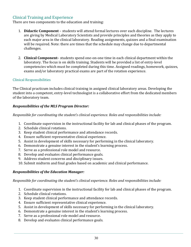## Clinical Training and Experience

There are two components to the education and training:

- 1. **Didactic Component** students will attend formal lectures over each discipline. The lectures are giving by Medical Laboratory Scientists and provide principles and theories as they apply to each major area in the clinical laboratory. Reading assignments, quizzes and a final examination will be required. Note: there are times that the schedule may change due to departmental challenges.
- 2. **Clinical Component** students spend one-on-one time in each clinical department within the laboratory. The focus is on skills training. Students will be provided a list of entry-level competencies which must be completed during this time. Assigned readings, homework, quizzes, exams and/or laboratory practical exams are part of the rotation experience.

#### Clinical Responsibilities

The Clinical practicum includes clinical training in assigned clinical laboratory areas. Developing the student into a competent, entry-level technologist is a collaborative effort from the dedicated members of the laboratory team.

#### **Responsibilities of the MLS Program Director:**

*Responsible for coordinating the student's clinical experience. Roles and responsibilities include:* 

- 1. Coordinate supervision in the instructional facility for lab and clinical phases of the program.
- 2. Schedule clinical rotations.
- 3. Keep student clinical performance and attendance records.
- 4. Ensure sufficient representative clinical experience.
- 5. Assist in development of skills necessary for performing in the clinical laboratory.
- 6. Demonstrate a genuine interest in the student's learning process.
- 7. Serve as a professional role model and resource.
- 8. Develop and evaluates clinical performance goals.
- 9. Address student concerns and disciplinary issues.
- 10. Submit midterm and final grades based on academic and clinical performance.

#### **Responsibilities of the Education Manager:**

*Responsible for coordinating the student's clinical experience. Roles and responsibilities include:* 

- 1. Coordinate supervision in the instructional facility for lab and clinical phases of the program.
- 2. Schedule clinical rotations.
- 3. Keep student clinical performance and attendance records.
- 4. Ensure sufficient representative clinical experience.
- 5. Assist in development of skills necessary for performing in the clinical laboratory.
- 6. Demonstrate a genuine interest in the student's learning process.
- 7. Serve as a professional role model and resource.
- 8. Develop and evaluates clinical performance goals.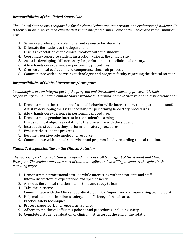#### *Responsibilities of the Clinical Supervisor*

The Clinical Supervisor is responsible for the clinical education, supervision, and evaluation of students. IIt *is* their responsibility to set a climate that is suitable for learning. Some of their roles and responsibilities *are:* 

- 1. Serve as a professional role model and resource for students.
- 2. Orientate the student to the department.
- 3. Discuss expectation of the clinical rotation with the student.
- 4. Coordinate/supervise student instruction while at the clinical site.
- 5. Assist in developing skill necessary for performing in the clinical laboratory.
- 6. Allow hands-on experience in performing procedures.
- 7. Oversee clinical evaluation and competency check-off process.
- 8. Communicate with supervising technologist and program faculty regarding the clinical rotation.

#### *Responsibilities of Clinical Instructors/Preceptors*

Technologists are an integral part of the program and the student's learning process. It is their responsibility to maintain a climate that is suitable for learning. Some of their roles and responsibilities are:

- 1. Demonstrate to the student professional behavior while interacting with the patient and staff.
- 2. Assist in developing the skills necessary for performing laboratory procedures.
- 3. Allow hands-on experience in performing procedures.
- 4. Demonstrate a genuine interest in the student's learning.
- 5. Discuss clinical objectives relating to the procedure with the student.
- 6. Instruct the student as they perform laboratory procedures.
- 7. Evaluate the student's progress.
- 8. Become a positive role model and resource.
- 9. Communicate with clinical supervisor and program faculty regarding clinical rotation.

#### *Student's Responsibilities in the Clinical Rotation*

The success of a clinical rotation will depend on the overall team effort of the student and Clinical *Preceptor.* The student must be a part of that team effort and be willing to support the effort in the *following ways:* 

- 1. Demonstrate a professional attitude while interacting with the patients and staff.
- 2. Inform instructors of expectations and specific needs.
- 3. Arrive at the clinical rotation site on time and ready to learn.
- 4. Take the initiative.
- 5. Communicate with the Clinical Coordinator, Clinical Supervisor and supervising technologist.
- 6. Help maintain the cleanliness, safety, and efficiency of the lab area.
- 7. Practice safety techniques.
- 8. Process paperwork and reports as assigned.
- 9. Adhere to the clinical affiliate's policies and procedures, including safety.
- 10. Complete a student evaluation of clinical instructors at the end of the rotation.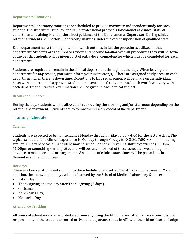#### Departmental Rotations

Departmental laboratory rotations are scheduled to provide maximum independent study for each student. The student must follow the same professional protocols for conduct as clinical staff. All departmental training is under the direct guidance of the Departmental Supervisor. During clinical rotations students will perform laboratory analyses under the direct supervision of qualified staff.

Each department has a training notebook which outlines in full the procedures utilized in that department. Students are required to review and become familiar with all procedures they will perform at the bench. Students will be given a list of entry-level competencies which must be completed for each department. 

Students are required to remain in the clinical department throughout the day. When leaving the department for **any** reason, you must inform your instructor(s). There are assigned study areas in each department when there is down time. Exceptions to this requirement will be made on an individual basis with departmental approval. Student time schedules (study time vs. bench work) will vary with each department. Practical examinations will be given in each clinical subject.

#### Breaks and Lunches

During the day, students will be allowed a break during the morning and/or afternoon depending on the rotational department. Students are to follow the break protocol of the department.

## Training Schedule

#### Calendar

Students are expected to be in attendance Monday through Friday,  $8:00 - 4:00$  for the lecture days. The typical schedule for a clinical experience is Monday through Friday, 6:00-2:30, 7:00-3:30 or something similar. On a rare occasion, a student may be scheduled for an "evening shift" experience (3:30pm -11:00pm or something similar). Students will be fully informed of these schedules well enough in advance to make personal arrangements. A schedule of clinical start times will be passed out in November of the school year.

#### **Holidays**

There are two vacation weeks built into the schedule: one week at Christmas and one week in March. In addition, the following holidays will be observed by the School of Medical Laboratory Science:

- Labor Dav
- Thanksgiving and the day after Thanksgiving  $(2 \text{ days})$ ,
- Christmas,
- New Year's Day,
- Memorial Day

#### **Attendance Tracking**

All hours of attendance are recorded electronically using the API time and attendance system. It is the responsibility of the student to record arrival and departure times in API with their identification badge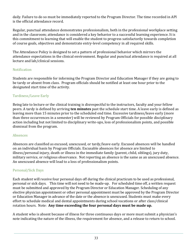daily. Failure to do so must be immediately reported to the Program Director. The time recorded in API is the official attendance record.

Regular, punctual attendance demonstrates professionalism, both in the professional workplace setting and in the classroom; attendance is considered a key behavior to a successful learning experience. It is this commitment to learning that will enable the student to progress satisfactorily towards completion of course goals, objectives and demonstrate entry-level competency in all required skills.

The Attendance Policy is designed to set a pattern of professional behavior which mirrors the attendance expectations in the clinical environment. Regular and punctual attendance is required at all lecture and lab/clinical sessions.

#### Notification

Students are responsible for informing the Program Director and Education Manager if they are going to be tardy or absent from class. Program officials should be notified at least one hour prior to the designated start time of the activity.

#### Tardiness/Leave Early

Being late to lecture or the clinical training is disrespectful to the instructors, faculty and your fellow peers. A tardy is defined by arriving **ten minutes** past the schedule start time. A leave early is defined as leaving more than 15 minutes prior to the scheduled end time. Excessive tardiness/leave early (more than three occurrences in a semester) will be reviewed by Program Officials for possible disciplinary action including but not limited to disciplinary write-ups, loss of professionalism points, and possible dismissal from the program.

#### Absences

Absences are classified as excused, unexcused, or tardy/leave early. Excused absences will be handled on an individual basis by Program Officials. Excusable absences for absence are limited to illness/personal injury, death or illness in the immediate family (parent, child, siblings), jury duty, military service, or religious observance. Not reporting an absence is the same as an unexcused absence. An unexcused absence will lead to a loss of professionalism points.

#### Personal/Sick Days

Each student will receive four personal days off during the clinical practicum to be used as professional, personal or sick days. This time will not need to be made-up. For scheduled time off, a written request must be submitted and approved by the Program Director or Education Manager. Scheduling of any elective physician appointment or other personal appointment must be approved by the Program Director or Education Manager in advance of the date or the absence is unexcused. Students must make every effort to schedule medical and dental appointments during school vacations or after class/clinical rotation hours. Note: Any time exceeding the four personal days must be made up.

A student who is absent because of illness for three continuous days or more must submit a physician's note indicating the nature of the illness, the requirement for absence, and a release to return to school.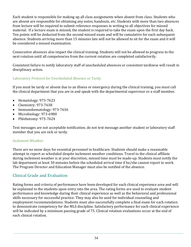Each student is responsible for making up all class assignments when absent from class. Students who are absent are responsible for obtaining any notes, handouts, etc. Students with more than two absences from lecture will be required to submit reference responses in writing to all objectives for missed material. If a lecture exam is missed, the student is required to take the exam upon the first day back. Ten points will be deducted from the second missed exam and will be cumulative for each subsequent absence. Students arriving more than 15 minutes late will not be allowed to sit for the exam and it will be considered a missed examination.

Consecutive absences also impact the clinical training. Students will not be allowed to progress to the next rotation until all competencies from the current rotation are completed satisfactorily.

Consistent failure to notify laboratory staff of unscheduled absences or consistent tardiness will result in disciplinary action.

#### Laboratory Protocol for Unscheduled Absence or Tardy

If you must be tardy or absent due to an illness or emergency during the clinical training, you must call the clinical department that you are in and speak with the departmental supervisor or a staff member.

- Hematology: 973-7623
- Chemistry: 973-7638
- Immunohematology: 973-7636
- Microbiology: 973-6980
- Phlebotomy: 973-7624

Text messages are not acceptable notification, do not text message another student or laboratory staff member that you are sick or tardy.

#### Inclement Weather

There are no snow days for essential personnel in healthcare. Students should make a reasonable attempt to report as scheduled despite inclement weather conditions. Travel to the clinical affiliate during inclement weather is at your discretion; missed time must be made-up. Students must notify the lab department at least 30 minutes before the scheduled arrival time if he/she cannot report to work. The Program Director and Education Manager must also be notified of the absence.

## Clinical Grade and Evaluation

Rating forms and criteria of performance have been developed for each clinical experience area and will be explained to the students upon entry into the area. The rating forms are used to evaluate student performance and knowledge during their clinical experience as well as the behavioral and professional skills necessary for successful practice. They may also be used for individual counseling and employment recommendations. Students must also successfully complete a final exam for each rotation to demonstrate competency for the MLS discipline. Satisfactory performance for each clinical experience will be indicated by a minimum passing grade of 75. Clinical rotation evaluations occur at the end of each clinical rotation.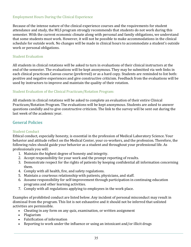#### Employment Hours During the Clinical Experience

Because of the intense nature of the clinical experience courses and the requirements for student attendance and study, the MLS program strongly recommends that students do not work during this semester. With the current economic climate along with personal and family obligations, we understand that some students must work. However, it will not be possible to make accommodations in the clinical schedule for outside work. No changes will be made in clinical hours to accommodate a student's outside work or personal obligations.

#### **Student Evaluation**

All students in clinical rotations will be asked to turn in evaluations of their clinical instructors at the end of the semester. The evaluations will be kept anonymous. They may be submitted via web links in each clinical practicum Canvas course (preferred) or as a hard copy. Students are reminded to list both: positive and negative experiences and give constructive criticism. Feedback from the evaluations will be used by instructors to improve and maintain the quality of their rotation.

#### Student Evaluation of the Clinical Practicum/Rotation Program:

All students in clinical rotations will be asked to complete an evaluation of their entire Clinical Practicum/Rotation Program. The evaluations will be kept anonymous. Students are asked to answer questions candidly and to give constructive criticism. The link to the survey will be sent out during the last week of the academic year.

## General Policies

#### Student Conduct

Ethical conduct, especially honesty, is essential in the profession of Medical Laboratory Science. Your behavior and attitude reflect on the Medical Center, your co-workers, and the profession. Therefore, the following rules should guide your behavior as a student and throughout your professional life. As professionals you will:

- 1. Maintain the highest degree of honesty and integrity.
- 2. Accept responsibility for your work and the prompt reporting of results.
- 3. Demonstrate respect for the rights of patients by keeping confidential all information concerning them.
- 4. Comply with all health, fire, and safety regulations.
- 5. Maintain a courteous relationship with patients, physicians, and staff.
- 6. Assume responsibility for self-improvement through participation in continuing education programs and other learning activities.
- 7. Comply with all regulations applying to employees in the work place.

Examples of prohibited conduct are listed below. Any incident of personal misconduct may result in dismissal from the program. This list is not exhaustive and it should not be inferred that unlisted activities are permissible.

- Cheating in any form on any quiz, examination, or written assignment
- Plagiarism
- Falsification of information
- Reporting to work under the influence or using an intoxicant and/or illicit drugs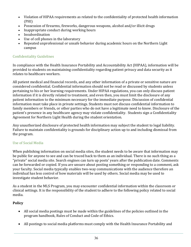- Violation of HIPAA requirements as related to the confidentiality of protected health information (PHI)
- Possession of firearms, fireworks, dangerous weapons, alcohol and/or illicit drugs
- Inappropriate conduct during working hours
- Insubordination
- Use of cell phones in the laboratory
- Repeated unprofessional or unsafe behavior during academic hours on the Northern Light campus

#### **Confidentiality Guidelines**

In compliance with the Health Insurance Portability and Accountability Act (HIPAA), information will be provided to students on maintaining confidentiality regarding patient privacy and data security as it relates to healthcare workers.

All patient medical and financial records, and any other information of a private or sensitive nature are considered confidential. Confidential information should not be read or discussed by students unless pertaining to his or her learning requirements. Under HIPAA regulations, you can only discuss patient information if it is directly related to treatment, and even then, you must limit the disclosure of any patient information to the minimum necessary for the immediate purpose. Discussion of confidential information must take place in private settings. Students must not discuss confidential information to family members or friends, or other parties who do not have a legitimate need to know. Disclosure of the patient's presence in any healthcare agency may violate confidentiality. Students sign a Confidentiality Agreement for Northern Light Health during the student orientation.

Any unauthorized disclosure of protected health information may subject the student to legal liability. Failure to maintain confidentiality is grounds for disciplinary action up to and including dismissal from the program.

#### Use of Social Media

When publishing information on social media sites, the student needs to be aware that information may be public for anyone to see and can be traced back to them as an individual. There is no such thing as a "private" social media site. Search engines can turn up posts' years after the publication date. Comments can be forwarded or copied. If you are unsure about posting something or responding to a comment, ask your faculty. Social media typically enables two-way communications with the audience therefore an individual has less control of how materials will be used by others. Social media may be used to investigate student behavior.

As a student in the MLS Program, you may encounter confidential information within the classroom or clinical settings. It is the responsibility of the student to adhere to the following policy related to social media.

#### **Policy**

- All social media postings must be made within the guidelines of the policies outlined in the program handbook, Rules of Conduct and Code of Ethics.
- All postings to social media platforms must comply with the Health Insurance Portability and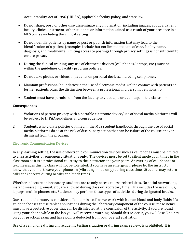Accountability Act of 1996 (HIPAA), applicable facility policy, and state law.

- Do not share, post, or otherwise disseminate any information, including images, about a patient, faculty, clinical instructor, other students or information gained as a result of your presence in a MLS course including the clinical setting.
- Do not identify patients by name or post or publish information that may lead to the identification of a patient (examples include but not limited to: date of care, facility name, diagnosis, and treatment). Limiting access to postings through privacy settings is not sufficient to ensure privacy.
- During the clinical training, any use of electronic devices (cell phones, laptops, etc.) must be within the guidelines of facility program policies.
- Do not take photos or videos of patients on personal devices, including cell phones.
- Maintain professional boundaries in the use of electronic media. Online contact with patients or former patients blurs the distinction between a professional and personal relationship.
- Student must have permission from the faculty to videotape or audiotape in the classroom.

#### **Consequences**

- 1. Violations of patient privacy with a portable electronic device/use of social media platforms will be subject to HIPAA guidelines and consequences.
- 2. Students who violate policies outlined in the MLS student handbook, through the use of social media platforms do so at the risk of disciplinary action that can be failure of the course and/or dismissal from the program.

#### Electronic Communication Devices

In any learning setting, the use of electronic communication devices such as cell phones must be limited to class activities or emergency situations only. The devices must be set to silent mode at all times in the classroom as it is a professional courtesy to the instructor and your peers. Answering of cell phones or text messages during class will not be tolerated. If you have an emergency, please let the instructor know that you must leave your phone on (vibrating mode only) during class time. Students may return calls and/or texts during breaks and lunch times.

Whether in lecture or laboratory, students are to only access course related sites. No social networking, instant messaging, email, etc., are allowed during class or laboratory time. This includes the use of PCs, laptops, mobile phones, etc. Students may perform these types of activities during designated breaks.

Our student laboratory is considered "contaminated" as we work with human blood and body fluids. If a student chooses to use tablet applications during the laboratory component of the course, these items must have a protective cover that can be disinfected at the conclusion of the activity. If you are found using your phone while in the lab you will receive a warning. Should this re-occur, you will lose 5 points on your practical exam and have points deducted from your overall evaluation.

Use of a cell phone during any academic testing situation or during exam review, is prohibited. It is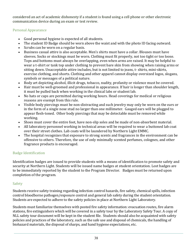considered an act of academic dishonesty if a student is found using a cell phone or other electronic communication device during an exam or test review.

#### Personal Appearance

- Good personal hygiene is expected of all students.
- The student ID Badge should be worn above the waist and with the photo ID facing outward.
- Scrubs can be worn on a regular basis.
- Business casual attire is also acceptable. Men's shirts must have a collar. Blouses must have sleeves. Socks or stockings must be worn. Clothing must fit properly, not too tight or too loose. Tops and bottoms must always be overlapping, even when arms are raised. It may be helpful to wear a t-shirt or tank top under clothing to prevent bare skin from showing when raising arms or sitting down. Unacceptable attire includes, but is not limited to jeans, t- shirts, mini-skirts, exercise clothing, and shorts. Clothing and other apparel cannot display oversized logos, slogans, symbols or messages of a political nature.
- Body art depicting alcohol, illicit drugs, tobacco, nudity, profanity or violence must be covered.
- Hair must be well-groomed and professional in appearance. If hair is longer than shoulder length, it must be pulled back when working in the clinical labs or student lab.
- No hats or caps are permitted during working hours. Head coverings for medical or religious reasons are exempt from this rule.
- Visible body piercings must be non-distracting and such jewelry may only be worn on the ears or in the form of a single nose stud no larger than one millimeter. Gauged ears will be plugged to appear flesh-toned. Other body piercings that may be detectable must be removed while working.
- Shoes must cover the entire foot, have non-slip soles and be made of non-absorbent material.
- All laboratory personnel working in technical areas will be required to wear a buttoned lab coat over their street clothes. Lab coats will be laundered by Northern Light EMMC.
- The hospital recognizes that exposure to strong scents and fragrances in the environment can be offensive to others. Therefore, the use of only minimally scented perfumes, colognes, and other fragrance products is encouraged.

## **Badge Identification**

Identification badges are issued to provide students with a means of identification to promote safety and security at Northern Light. Students will be issued name badges at student orientation. Lost badges are to be immediately reported by the student to the Program Director. Badges must be returned upon completion of the program.

#### Safety

Students receive safety training regarding infection control hazards, fire safety, chemical spills, infection control bloodborne pathogen/exposure control and general lab safety during the student orientation. Students are expected to adhere to the safety policies in place at Northern Light Laboratory.

Students must familiarize themselves with posted fire safety information: evacuation routes, fire alarm stations, fire extinguishers which will be covered in a safety tour by the Laboratory Safety Tour. A copy of NLL safety tour document will be kept in the student file. Students should also be acquainted with safety policies and practices of the laboratory, such as the safe use and disposal of chemicals, the handling of biohazard materials, the disposal of sharps, and hand hygiene expectations, etc.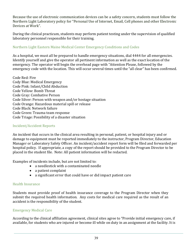Because the use of electronic communication devices can be a safety concern, students must follow the Northern Light Laboratory policy for "Personal Use of Internet, Email, Cell phones and other Electronic Devices at Work".

During the clinical practicum, students may perform patient testing under the supervision of qualified laboratory personnel responsible for their training.

#### Northern Light Eastern Maine Medical Center Emergency Conditions and Codes

As a hospital, we must all be prepared to handle emergency situations, dial 4444 for all emergencies. Identify yourself and give the operator all pertinent information as well as the exact location of the emergency. The operator will begin the overhead page with "Attention Please, followed by the emergency code with the location. This will occur several times until the "all clear" has been confirmed.

Code Red: Fire Cody Blue: Medical Emergency Code Pink: Infant/Child Abduction Code Yellow: Bomb Threat Code Gray: Combative Person Code Silver: Person with weapon and/or hostage situation Code Orange: Hazardous material spill or release Code Black: Network failure Code Green: Trauma team response Code Triage: Possibility of a disaster situation

#### Incident/Accident Reports

An incident that occurs in the clinical area resulting in personal, patient, or hospital injury and or damage to equipment must be reported immediately to the instructor, Program Director, Education Manager or Laboratory Safety Officer. An incident/accident report form will be filed and forwarded per hospital policy. If appropriate, a copy of the report should be provided to the Program Director to be placed in the student file. Note: All patient information will be redacted.

Examples of incidents include, but are not limited to:

- a needlestick with a contaminated needle
- $\bullet$  a patient complaint
- a significant error that could have or did impact patient care

#### Health Insurance

Students must provide proof of health insurance coverage to the Program Director when they submit the required health information. Any costs for medical care required as the result of an accident is the responsibility of the student.

#### Emergency Medical Care

According to the clinical affiliation agreement, clinical sites agree to "Provide initial emergency care, if available, for students who are injured or become ill while on duty in an assignment at the facility. It is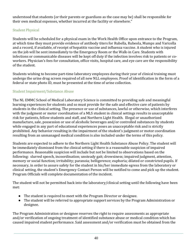understood that students (or their parents or guardians as the case may be) shall be responsible for their own medical expenses, whether incurred at the facility or elsewhere."

## **Student Physical**

Students will be scheduled for a physical exam in the Work Health Office upon entrance to the Program, at which time they must provide evidence of antibody titers for Rubella, Rubeola, Mumps and Varicella and a record, if available, of receipt of hepatitis vaccine and influenza vaccine. A student who is injured on the job will be sent immediately to the Emergency Room or the Walk-in Care. Students with infections or communicable diseases will be kept off duty if the infection involves risk to patients or coworkers. Physician's fees for consultation, office visits, hospital care, and eye care are the responsibility of the student.

Students wishing to become part-time laboratory employees during their year of clinical training must undergo the urine drug screen required of all new NLL employees. Proof of identification in the form of a federal or state photo ID, must be presented at the time of urine collection.

## Student Impairment/Substance Abuse

The NL EMMC School of Medical Laboratory Science is committed to providing safe and meaningful learning experiences for students and so must provide for the safe and effective care of patients by students in the clinical setting. The presence or use of substances, lawful or otherwise, which interferes with the judgment or motor coordination of a MLS student in clinical settings results in unacceptable risk for patients, fellow students and staff, and Northern Light Health. Illegal or unauthorized manufacture, sale, possession or use of alcoholic beverages and/or controlled substances by students while engaged in any part of educational experiences poses an unacceptable risk and is strictly prohibited. Any behavior resulting in the impairment of the student's judgment or motor coordination resulting from an unmanaged medical condition is also included under the terms of this policy.

Students are expected to adhere to the Northern Light Health Substance Abuse Policy. The student will be immediately dismissed from the clinical setting if there is a reasonable suspicion of impaired performance. Reasonable suspicion will include but not be limited to observations based on the following: slurred speech, incoordination; unsteady gait; drowsiness; impaired judgment, attention, memory or social function; irritability; paranoia; belligerence; euphoria; dilated or constricted pupils. If necessary, in order to assure safety for the student in his/her immediate egress from the laboratory or clinical setting, the student's Emergency Contact Person will be notified to come and pick up the student. Program Officials will complete documentation of the incident.

The student will not be permitted back into the laboratory/clinical setting until the following have been met: 

- The student is required to meet with the Program Director or designee.
- The student will be referred to appropriate support services by the Program Administration or designee.

The Program Administration or designee reserves the right to require assessments as appropriate and/or verification of ongoing treatment of identified substance abuse or medical condition which has caused impaired student performance. Said assessment and/or verification must be obtained from the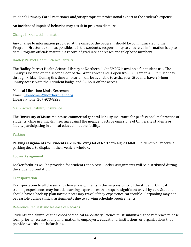student's Primary Care Practitioner and/or appropriate professional expert at the student's expense.

An incident of impaired behavior may result in program dismissal.

#### Change in Contact Information

Any change to information provided at the onset of the program should be communicated to the Program Director as soon as possible. It is the student's responsibility to ensure all information is up to date. Program officials maintain a record of graduate addresses and telephone numbers.

## Hadley Parrott Health Science Library

The Hadley Parrott Health Science Library at Northern Light EMMC is available for student use. The library is located on the second floor of the Grant Tower and is open from 8:00 am to 4:30 pm Monday through Friday. During this time a librarian will be available to assist you. Students have 24-hour library access with their student badge and 24-hour online access.

Medical Librarian: Linda Kerecmen Email: LKerecmen@northernlight.org Library Phone: 207-973-8228

#### Malpractice Liability Insurance

The University of Maine maintains commercial general liability insurance for professional malpractice of students while in clinicals, insuring against the negligent acts or omissions of University students or faculty participating in clinical education at the facility.

#### Parking

Parking assignments for students are in the Wing lot of Northern Light EMMC. Students will receive a parking decal to display in their vehicle window.

#### Locker Assignment

Locker facilities will be provided for students at no cost. Locker assignments will be distributed during the student orientation.

#### Transportation

Transportation to all classes and clinical assignments is the responsibility of the student. Clinical training experiences may include learning experiences that require significant travel by car. Students should have a back-up plan for the necessary travel if they experience car trouble. Carpooling may not be feasible during clinical assignments due to varying schedule requirements.

#### Reference Request and Release of Records

Students and alumni of the School of Medical Laboratory Science must submit a signed reference release form prior to release of any information to employers, educational institutions, or organizations that provide awards or scholarships.